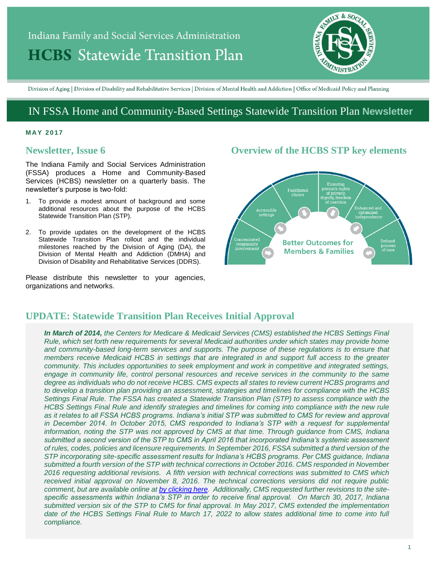# Indiana Family and Social Services Administration **HCBS** Statewide Transition Plan



Division of Aging | Division of Disability and Rehabilitative Services | Division of Mental Health and Addiction | Office of Medicaid Policy and Planning

# IN FSSA Home and Community-Based Settings Statewide Transition Plan **Newsletter**

#### **M AY 201 7**

# **Newsletter, Issue 6**

The Indiana Family and Social Services Administration (FSSA) produces a Home and Community-Based Services (HCBS) newsletter on a quarterly basis. The newsletter's purpose is two-fold:

- 1. To provide a modest amount of background and some additional resources about the purpose of the HCBS Statewide Transition Plan (STP).
- 2. To provide updates on the development of the HCBS Statewide Transition Plan rollout and the individual milestones reached by the Division of Aging (DA), the Division of Mental Health and Addiction (DMHA) and Division of Disability and Rehabilitative Services (DDRS).

Please distribute this newsletter to your agencies, organizations and networks.

# **Overview of the HCBS STP key elements**



# **UPDATE: Statewide Transition Plan Receives Initial Approval**

*In March of 2014, the Centers for Medicare & Medicaid Services (CMS) established the HCBS Settings Final Rule, which set forth new requirements for several Medicaid authorities under which states may provide home and community-based long-term services and supports. The purpose of these regulations is to ensure that members receive Medicaid HCBS in settings that are integrated in and support full access to the greater community. This includes opportunities to seek employment and work in competitive and integrated settings, engage in community life, control personal resources and receive services in the community to the same degree as individuals who do not receive HCBS. CMS expects all states to review current HCBS programs and to develop a transition plan providing an assessment, strategies and timelines for compliance with the HCBS Settings Final Rule. The FSSA has created a Statewide Transition Plan (STP) to assess compliance with the HCBS Settings Final Rule and identify strategies and timelines for coming into compliance with the new rule as it relates to all FSSA HCBS programs. Indiana's initial STP was submitted to CMS for review and approval in December 2014. In October 2015, CMS responded to Indiana's STP with a request for supplemental information, noting the STP was not approved by CMS at that time. Through guidance from CMS, Indiana submitted a second version of the STP to CMS in April 2016 that incorporated Indiana's systemic assessment of rules, codes, policies and licensure requirements. In September 2016, FSSA submitted a third version of the STP incorporating site-specific assessment results for Indiana's HCBS programs. Per CMS guidance, Indiana submitted a fourth version of the STP with technical corrections in October 2016. CMS responded in November 2016 requesting additional revisions. A fifth version with technical corrections was submitted to CMS which received initial approval on November 8, 2016. The technical corrections versions did not require public comment, but are available online at by [clicking](https://secure.in.gov/fssa/4917.htm) here. Additionally, CMS requested further revisions to the sitespecific assessments within Indiana's STP in order to receive final approval. On March 30, 2017, Indiana submitted version six of the STP to CMS for final approval. In May 2017, CMS extended the implementation date of the HCBS Settings Final Rule to March 17, 2022 to allow states additional time to come into full compliance.*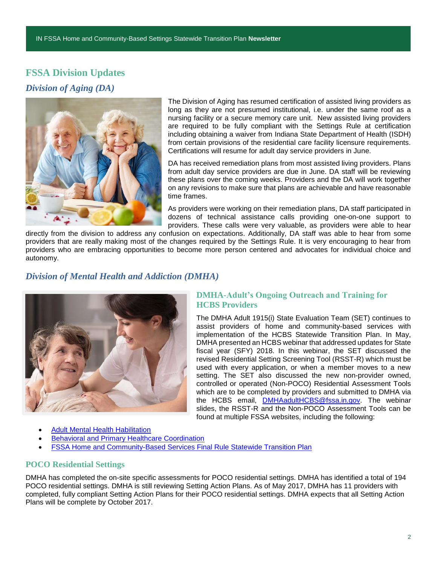# **FSSA Division Updates** *Division of Aging (DA)*



The Division of Aging has resumed certification of assisted living providers as long as they are not presumed institutional, i.e. under the same roof as a nursing facility or a secure memory care unit. New assisted living providers are required to be fully compliant with the Settings Rule at certification including obtaining a waiver from Indiana State Department of Health (ISDH) from certain provisions of the residential care facility licensure requirements. Certifications will resume for adult day service providers in June.

DA has received remediation plans from most assisted living providers. Plans from adult day service providers are due in June. DA staff will be reviewing these plans over the coming weeks. Providers and the DA will work together on any revisions to make sure that plans are achievable and have reasonable time frames.

As providers were working on their remediation plans, DA staff participated in dozens of technical assistance calls providing one-on-one support to providers. These calls were very valuable, as providers were able to hear

directly from the division to address any confusion on expectations. Additionally, DA staff was able to hear from some providers that are really making most of the changes required by the Settings Rule. It is very encouraging to hear from providers who are embracing opportunities to become more person centered and advocates for individual choice and autonomy.

# *Division of Mental Health and Addiction (DMHA)*



# **DMHA-Adult's Ongoing Outreach and Training for HCBS Providers**

The DMHA Adult 1915(i) State Evaluation Team (SET) continues to assist providers of home and community-based services with implementation of the HCBS Statewide Transition Plan. In May, DMHA presented an HCBS webinar that addressed updates for State fiscal year (SFY) 2018. In this webinar, the SET discussed the revised Residential Setting Screening Tool (RSST-R) which must be used with every application, or when a member moves to a new setting. The SET also discussed the new non-provider owned, controlled or operated (Non-POCO) Residential Assessment Tools which are to be completed by providers and submitted to DMHA via the HCBS email, [DMHAadultHCBS@fssa.in.gov.](mailto:DMHAadultHCBS@fssa.in.gov) The webinar slides, the RSST-R and the Non-POCO Assessment Tools can be found at multiple FSSA websites, including the following:

- [Adult Mental Health Habilitation](http://www.in.gov/fssa/dmha/2876.htm)
- [Behavioral and Primary Healthcare Coordination](http://www.in.gov/fssa/dmha/2883.htm)
- [FSSA Home and Community-Based Services Final Rule Statewide Transition Plan](http://www.in.gov/fssa/4917.htm)

## **POCO Residential Settings**

DMHA has completed the on-site specific assessments for POCO residential settings. DMHA has identified a total of 194 POCO residential settings. DMHA is still reviewing Setting Action Plans. As of May 2017, DMHA has 11 providers with completed, fully compliant Setting Action Plans for their POCO residential settings. DMHA expects that all Setting Action Plans will be complete by October 2017.